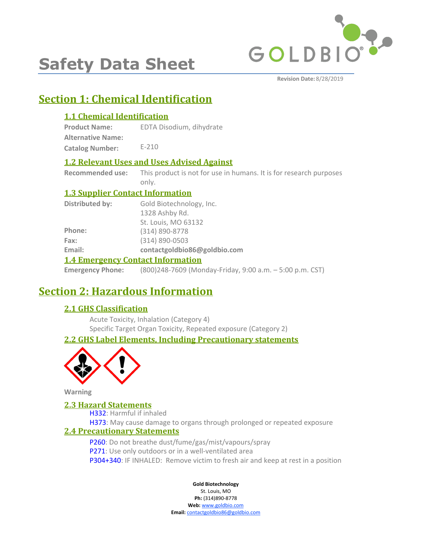

# **Safety Data Sheet**

**Revision Date:** 8/28/2019

# **Section 1: Chemical Identification**

# **1.1 Chemical Identification**

**Product Name: Alternative Name: Catalog Number:** EDTA Disodium, dihydrate E-210

# **1.2 Relevant Uses and Uses Advised Against**

**Recommended use:** This product is not for use in humans. It is for research purposes only.

# **1.3 Supplier Contact Information**

| Distributed by:                          | Gold Biotechnology, Inc.     |  |
|------------------------------------------|------------------------------|--|
|                                          | 1328 Ashby Rd.               |  |
|                                          | St. Louis, MO 63132          |  |
| Phone:                                   | (314) 890-8778               |  |
| Fax:                                     | (314) 890-0503               |  |
| Email:                                   | contactgoldbio86@goldbio.com |  |
| <b>1.4 Emergency Contact Information</b> |                              |  |

#### **Emergency Phone:** (800)248-7609 (Monday-Friday, 9:00 a.m. – 5:00 p.m. CST)

# **Section 2: Hazardous Information**

# **2.1 GHS Classification**

Acute Toxicity, Inhalation (Category 4) Specific Target Organ Toxicity, Repeated exposure (Category 2)

# **2.2 GHS Label Elements, Including Precautionary statements**



**Warning**

### **2.3 Hazard Statements**

H332: Harmful if inhaled H373: May cause damage to organs through prolonged or repeated exposure

# **2.4 Precautionary Statements**

P260: Do not breathe dust/fume/gas/mist/vapours/spray P271: Use only outdoors or in a well-ventilated area P304+340: IF INHALED: Remove victim to fresh air and keep at rest in a position

#### **Gold Biotechnology**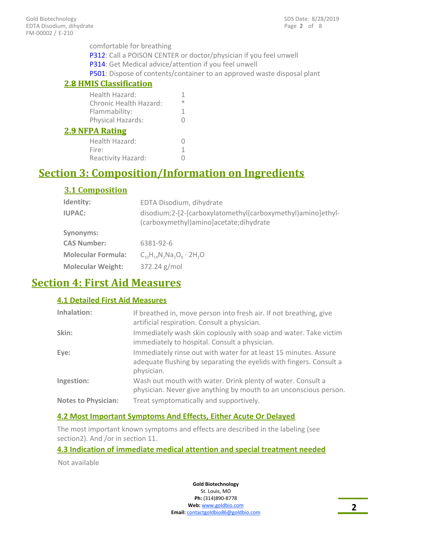comfortable for breathing P312: Call a POISON CENTER or doctor/physician if you feel unwell P314: Get Medical advice/attention if you feel unwell P501: Dispose of contents/container to an approved waste disposal plant

### **2.8 HMIS Classification**

| <b>2.8 HMIS Classification</b>           |         |
|------------------------------------------|---------|
| Health Hazard:<br>Chronic Health Hazard: | 1.<br>ж |
| Flammability:                            | 1       |
| Physical Hazards:                        | O       |
| <b>2.9 NFPA Rating</b>                   |         |
| Health Hazard:                           |         |
| Fire:                                    | 1       |
| Reactivity Hazard:                       |         |

# **Section 3: Composition/Information on Ingredients**

# **3.1 Composition**

| Identity:                 | EDTA Disodium, dihydrate                                                                              |
|---------------------------|-------------------------------------------------------------------------------------------------------|
| <b>IUPAC:</b>             | disodium;2-[2-[carboxylatomethyl(carboxymethyl)amino]ethyl-<br>(carboxymethyl)amino]acetate;dihydrate |
| Synonyms:                 |                                                                                                       |
| <b>CAS Number:</b>        | 6381-92-6                                                                                             |
| <b>Molecular Formula:</b> | $C_{10}H_{14}N_2Na_3O_8 \cdot 2H_2O$                                                                  |
| <b>Molecular Weight:</b>  | 372.24 g/mol                                                                                          |

# **Section 4: First Aid Measures**

# **4.1 Detailed First Aid Measures**

| Inhalation:                | If breathed in, move person into fresh air. If not breathing, give<br>artificial respiration. Consult a physician.                                    |
|----------------------------|-------------------------------------------------------------------------------------------------------------------------------------------------------|
| Skin:                      | Immediately wash skin copiously with soap and water. Take victim<br>immediately to hospital. Consult a physician.                                     |
| Eye:                       | Immediately rinse out with water for at least 15 minutes. Assure<br>adequate flushing by separating the eyelids with fingers. Consult a<br>physician. |
| Ingestion:                 | Wash out mouth with water. Drink plenty of water. Consult a<br>physician. Never give anything by mouth to an unconscious person.                      |
| <b>Notes to Physician:</b> | Treat symptomatically and supportively.                                                                                                               |

### **4.2 Most Important Symptoms And Effects, Either Acute Or Delayed**

The most important known symptoms and effects are described in the labeling (see section2). And /or in section 11.

### **4.3 Indication of immediate medical attention and special treatment needed**

Not available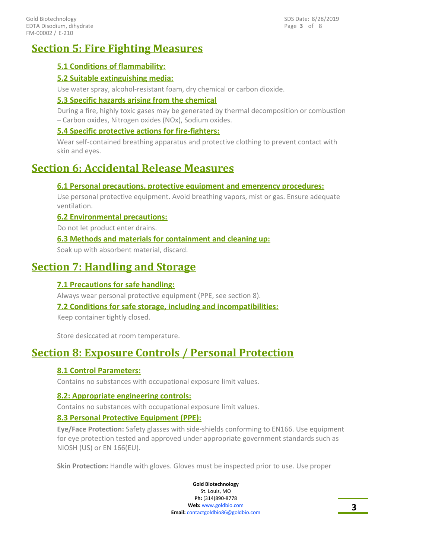# **Section 5: Fire Fighting Measures**

# **5.1 Conditions of flammability:**

## **5.2 Suitable extinguishing media:**

Use water spray, alcohol-resistant foam, dry chemical or carbon dioxide.

## **5.3 Specific hazards arising from the chemical**

During a fire, highly toxic gases may be generated by thermal decomposition or combustion – Carbon oxides, Nitrogen oxides (NOx), Sodium oxides.

## **5.4 Specific protective actions for fire-fighters:**

Wear self-contained breathing apparatus and protective clothing to prevent contact with skin and eyes.

# **Section 6: Accidental Release Measures**

### **6.1 Personal precautions, protective equipment and emergency procedures:**

Use personal protective equipment. Avoid breathing vapors, mist or gas. Ensure adequate ventilation.

### **6.2 Environmental precautions:**

Do not let product enter drains.

## **6.3 Methods and materials for containment and cleaning up:**

Soak up with absorbent material, discard.

# **Section 7: Handling and Storage**

# **7.1 Precautions for safe handling:**

Always wear personal protective equipment (PPE, see section 8).

### **7.2 Conditions for safe storage, including and incompatibilities:**

Keep container tightly closed.

Store desiccated at room temperature.

# **Section 8: Exposure Controls / Personal Protection**

# **8.1 Control Parameters:**

Contains no substances with occupational exposure limit values.

### **8.2: Appropriate engineering controls:**

Contains no substances with occupational exposure limit values.

### **8.3 Personal Protective Equipment (PPE):**

**Eye/Face Protection:** Safety glasses with side-shields conforming to EN166. Use equipment for eye protection tested and approved under appropriate government standards such as NIOSH (US) or EN 166(EU).

**Skin Protection:** Handle with gloves. Gloves must be inspected prior to use. Use proper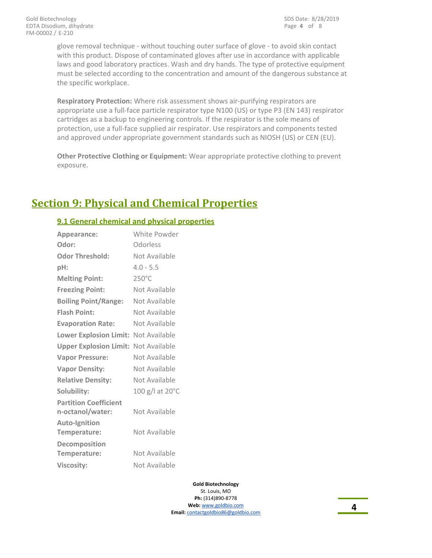glove removal technique - without touching outer surface of glove - to avoid skin contact with this product. Dispose of contaminated gloves after use in accordance with applicable laws and good laboratory practices. Wash and dry hands. The type of protective equipment must be selected according to the concentration and amount of the dangerous substance at the specific workplace.

**Respiratory Protection:** Where risk assessment shows air-purifying respirators are appropriate use a full-face particle respirator type N100 (US) or type P3 (EN 143) respirator cartridges as a backup to engineering controls. If the respirator is the sole means of protection, use a full-face supplied air respirator. Use respirators and components tested and approved under appropriate government standards such as NIOSH (US) or CEN (EU).

**Other Protective Clothing or Equipment:** Wear appropriate protective clothing to prevent exposure.

# **Section 9: Physical and Chemical Properties**

## **9.1 General chemical and physical properties**

| Appearance:                                      | White Powder    |
|--------------------------------------------------|-----------------|
| Odor:                                            | Odorless        |
| <b>Odor Threshold:</b>                           | Not Available   |
| pH:                                              | $4.0 - 5.5$     |
| <b>Melting Point:</b>                            | $250^{\circ}$ C |
| <b>Freezing Point:</b>                           | Not Available   |
| <b>Boiling Point/Range:</b>                      | Not Available   |
| <b>Flash Point:</b>                              | Not Available   |
| <b>Evaporation Rate:</b>                         | Not Available   |
| <b>Lower Explosion Limit:</b>                    | Not Available   |
| <b>Upper Explosion Limit:</b>                    | Not Available   |
| <b>Vapor Pressure:</b>                           | Not Available   |
| <b>Vapor Density:</b>                            | Not Available   |
| <b>Relative Density:</b>                         | Not Available   |
| Solubility:                                      | 100 g/l at 20°C |
| <b>Partition Coefficient</b><br>n-octanol/water: | Not Available   |
| Auto-Ignition<br>Temperature:                    | Not Available   |
| Decomposition<br>Temperature:                    | Not Available   |
| <b>Viscosity:</b>                                | Not Available   |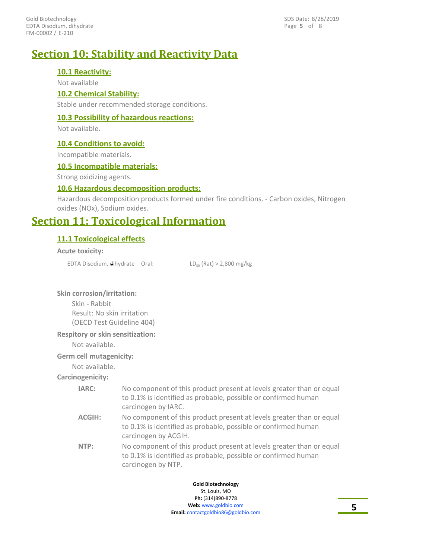FM-00002 / E-210 Gold Biotechnology EDTA Disodium, dihydrate Page **5** of 8 SDS Date: 8/28/2019

# **Section 10: Stability and Reactivity Data**

### **10.1 Reactivity:**

Not available

### **10.2 Chemical Stability:**

Stable under recommended storage conditions.

### **10.3 Possibility of hazardous reactions:**

Not available.

#### **10.4 Conditions to avoid:**

Incompatible materials.

### **10.5 Incompatible materials:**

Strong oxidizing agents.

#### **10.6 Hazardous decomposition products:**

Hazardous decomposition products formed under fire conditions. - Carbon oxides, Nitrogen oxides (NOx), Sodium oxides.

# **Section 11: Toxicological Information**

### **11.1 Toxicological effects**

#### **Acute toxicity:**

EDTA Disodium, dihydrate Oral:  $LD_{50}$  (Rat) > 2,800 mg/kg

#### **Skin corrosion/irritation:**

Skin - Rabbit Result: No skin irritation (OECD Test Guideline 404)

#### **Respitory or skin sensitization:**

Not available.

### **Germ cell mutagenicity:**

Not available.

#### **Carcinogenicity:**

| IARC:  | No component of this product present at levels greater than or equal                  |
|--------|---------------------------------------------------------------------------------------|
|        | to 0.1% is identified as probable, possible or confirmed human<br>carcinogen by IARC. |
| ACGIH: | No component of this product present at levels greater than or equal                  |
|        | to 0.1% is identified as probable, possible or confirmed human                        |

- carcinogen by ACGIH.
- No component of this product present at levels greater than or equal to 0.1% is identified as probable, possible or confirmed human carcinogen by NTP. **NTP:**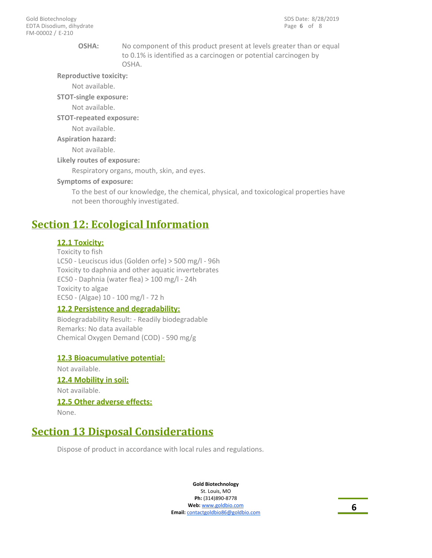#### **OSHA:**

No component of this product present at levels greater than or equal to 0.1% is identified as a carcinogen or potential carcinogen by OSHA.

**Reproductive toxicity:**

Not available.

**STOT-single exposure:**

Not available.

**STOT-repeated exposure:**

Not available.

**Aspiration hazard:**

Not available.

**Likely routes of exposure:**

Respiratory organs, mouth, skin, and eyes.

#### **Symptoms of exposure:**

To the best of our knowledge, the chemical, physical, and toxicological properties have not been thoroughly investigated.

# **Section 12: Ecological Information**

#### **12.1 Toxicity:**

Toxicity to fish LC50 - Leuciscus idus (Golden orfe) > 500 mg/l - 96h Toxicity to daphnia and other aquatic invertebrates EC50 - Daphnia (water flea) > 100 mg/l - 24h Toxicity to algae EC50 - (Algae) 10 - 100 mg/l - 72 h

### **12.2 Persistence and degradability:**

Biodegradability Result: - Readily biodegradable Remarks: No data available Chemical Oxygen Demand (COD) - 590 mg/g

### **12.3 Bioacumulative potential:**

Not available. **12.4 Mobility in soil:** Not available. **12.5 Other adverse effects:** None.

# **Section 13 Disposal Considerations**

Dispose of product in accordance with local rules and regulations.

**Gold Biotechnology** St. Louis, MO

**Ph:** (314)890-8778 **Web:** www.goldbio.com **Email:** contactgoldbio86@goldbio.com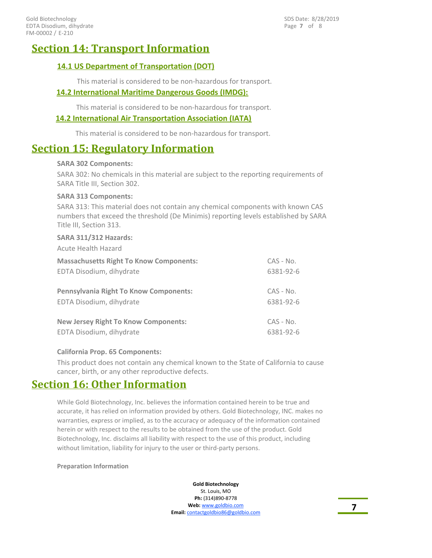Page **7** of 8 SDS Date: 8/28/2019

# **Section 14: Transport Information**

# **14.1 US Department of Transportation (DOT)**

This material is considered to be non-hazardous for transport.

### **14.2 International Maritime Dangerous Goods (IMDG):**

This material is considered to be non-hazardous for transport.

### **14.2 International Air Transportation Association (IATA)**

This material is considered to be non-hazardous for transport.

# **Section 15: Regulatory Information**

#### **SARA 302 Components:**

SARA 302: No chemicals in this material are subject to the reporting requirements of SARA Title III, Section 302.

#### **SARA 313 Components:**

SARA 313: This material does not contain any chemical components with known CAS numbers that exceed the threshold (De Minimis) reporting levels established by SARA Title III, Section 313.

#### **SARA 311/312 Hazards:**

Acute Health Hazard

| <b>Massachusetts Right To Know Components:</b> | $CAS - No.$ |
|------------------------------------------------|-------------|
| EDTA Disodium, dihydrate                       | 6381-92-6   |
| <b>Pennsylvania Right To Know Components:</b>  | $CAS - No.$ |
| EDTA Disodium, dihydrate                       | 6381-92-6   |
| <b>New Jersey Right To Know Components:</b>    | $CAS - No.$ |
| EDTA Disodium, dihydrate                       | 6381-92-6   |

### **California Prop. 65 Components:**

This product does not contain any chemical known to the State of California to cause cancer, birth, or any other reproductive defects.

# **Section 16: Other Information**

While Gold Biotechnology, Inc. believes the information contained herein to be true and accurate, it has relied on information provided by others. Gold Biotechnology, INC. makes no warranties, express or implied, as to the accuracy or adequacy of the information contained herein or with respect to the results to be obtained from the use of the product. Gold Biotechnology, Inc. disclaims all liability with respect to the use of this product, including without limitation, liability for injury to the user or third-party persons.

#### **Preparation Information**